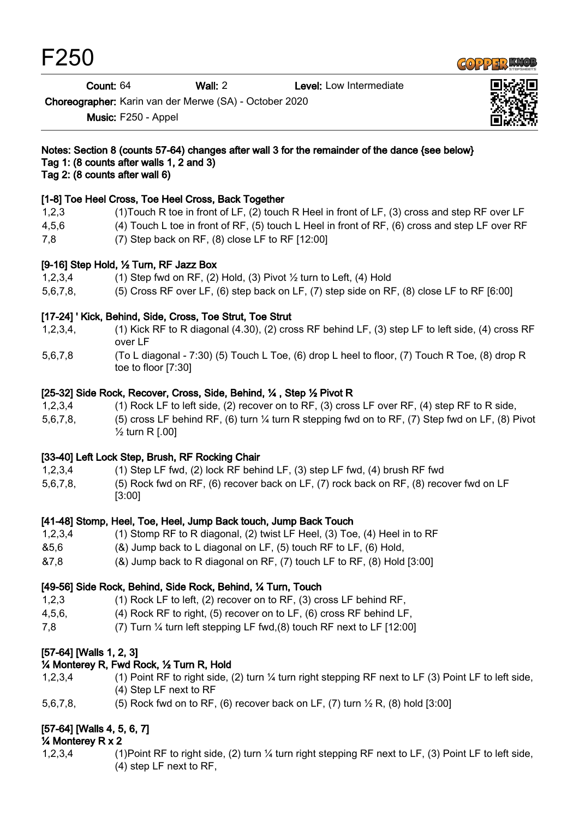F250



Count: 64 Wall: 2 Level: Low Intermediate

Choreographer: Karin van der Merwe (SA) - October 2020

Music: F250 - Appel



#### Notes: Section 8 (counts 57-64) changes after wall 3 for the remainder of the dance {see below} Tag 1: (8 counts after walls 1, 2 and 3)

Tag 2: (8 counts after wall 6)

#### [1-8] Toe Heel Cross, Toe Heel Cross, Back Together

- 1,2,3 (1)Touch R toe in front of LF, (2) touch R Heel in front of LF, (3) cross and step RF over LF
- 4,5,6 (4) Touch L toe in front of RF, (5) touch L Heel in front of RF, (6) cross and step LF over RF
- 7,8 (7) Step back on RF, (8) close LF to RF [12:00]

#### [9-16] Step Hold, ½ Turn, RF Jazz Box

- 1,2,3,4 (1) Step fwd on RF, (2) Hold, (3) Pivot ½ turn to Left, (4) Hold
- 5,6,7,8, (5) Cross RF over LF, (6) step back on LF, (7) step side on RF, (8) close LF to RF [6:00]

## [17-24] ' Kick, Behind, Side, Cross, Toe Strut, Toe Strut

- 1,2,3,4, (1) Kick RF to R diagonal (4.30), (2) cross RF behind LF, (3) step LF to left side, (4) cross RF over LF
- 5,6,7,8 (To L diagonal 7:30) (5) Touch L Toe, (6) drop L heel to floor, (7) Touch R Toe, (8) drop R toe to floor [7:30]

## [25-32] Side Rock, Recover, Cross, Side, Behind, ¼ , Step ½ Pivot R

- 1,2,3,4 (1) Rock LF to left side, (2) recover on to RF, (3) cross LF over RF, (4) step RF to R side,
- 5,6,7,8, (5) cross LF behind RF, (6) turn ¼ turn R stepping fwd on to RF, (7) Step fwd on LF, (8) Pivot ½ turn R [.00]

## [33-40] Left Lock Step, Brush, RF Rocking Chair

- 1,2,3,4 (1) Step LF fwd, (2) lock RF behind LF, (3) step LF fwd, (4) brush RF fwd
- 5,6,7,8, (5) Rock fwd on RF, (6) recover back on LF, (7) rock back on RF, (8) recover fwd on LF [3:00]

## [41-48] Stomp, Heel, Toe, Heel, Jump Back touch, Jump Back Touch

- 1,2,3,4 (1) Stomp RF to R diagonal, (2) twist LF Heel, (3) Toe, (4) Heel in to RF
- &5,6 (&) Jump back to L diagonal on LF, (5) touch RF to LF, (6) Hold,
- &7,8 (&) Jump back to R diagonal on RF, (7) touch LF to RF, (8) Hold [3:00]

## [49-56] Side Rock, Behind, Side Rock, Behind, ¼ Turn, Touch

- 1,2,3 (1) Rock LF to left, (2) recover on to RF, (3) cross LF behind RF,
- 4,5,6, (4) Rock RF to right, (5) recover on to LF, (6) cross RF behind LF,
- 7,8 (7) Turn ¼ turn left stepping LF fwd,(8) touch RF next to LF [12:00]

# [57-64] [Walls 1, 2, 3]

## ¼ Monterey R, Fwd Rock, ½ Turn R, Hold

- 1,2,3,4 (1) Point RF to right side, (2) turn ¼ turn right stepping RF next to LF (3) Point LF to left side, (4) Step LF next to RF
- 5,6,7,8, (5) Rock fwd on to RF, (6) recover back on LF, (7) turn  $\frac{1}{2}$  R, (8) hold [3:00]

# [57-64] [Walls 4, 5, 6, 7]

## ¼ Monterey R x 2

1,2,3,4 (1)Point RF to right side, (2) turn ¼ turn right stepping RF next to LF, (3) Point LF to left side, (4) step LF next to RF,